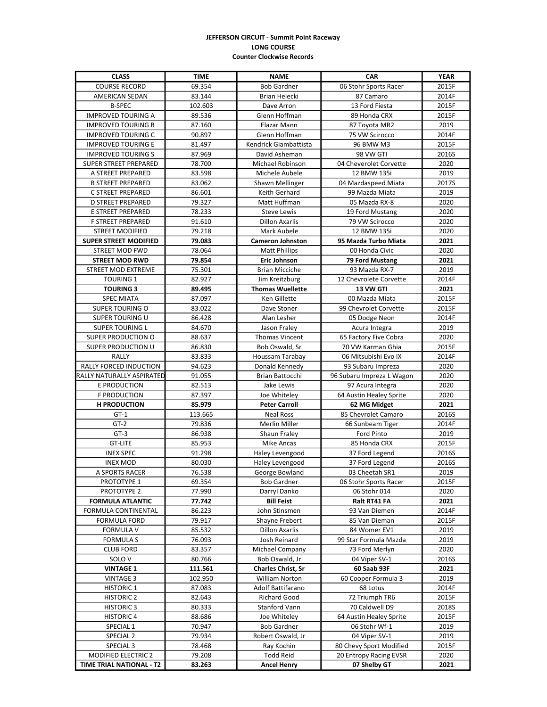## **JEFFERSON CIRCUIT - Summit Point Raceway LONG COURSE Counter Clockwise Records**

| <b>CLASS</b>                    | <b>TIME</b> | <b>NAME</b>               | <b>CAR</b>                | <b>YEAR</b> |
|---------------------------------|-------------|---------------------------|---------------------------|-------------|
| <b>COURSE RECORD</b>            | 69.354      | <b>Bob Gardner</b>        | 06 Stohr Sports Racer     | 2015F       |
| <b>AMERICAN SEDAN</b>           | 83.144      | Brian Helecki             | 87 Camaro                 | 2014F       |
| <b>B-SPEC</b>                   | 102.603     | Dave Arron                | 13 Ford Fiesta            | 2015F       |
| <b>IMPROVED TOURING A</b>       | 89.536      | Glenn Hoffman             | 89 Honda CRX              | 2015F       |
| <b>IMPROVED TOURING B</b>       | 87.160      | Elazar Mann               | 87 Toyota MR2             | 2019        |
| <b>IMPROVED TOURING C</b>       | 90.897      | Glenn Hoffman             | 75 VW Scirocco            | 2014F       |
| <b>IMPROVED TOURING E</b>       | 81.497      | Kendrick Giambattista     | 96 BMW M3                 | 2015F       |
| <b>IMPROVED TOURING S</b>       | 87.969      | David Asheman             | 98 VW GTI                 | 2016S       |
| SUPER STREET PREPARED           | 78.700      | Michael Robinson          | 04 Cheverolet Corvette    | 2020        |
| A STREET PREPARED               | 83.598      | Michele Aubele            | 12 BMW 135i               | 2019        |
| <b>B STREET PREPARED</b>        | 83.062      | Shawn Mellinger           | 04 Mazdaspeed Miata       | 2017S       |
| C STREET PREPARED               | 86.601      | Keith Gerhard             | 99 Mazda Miata            | 2019        |
| <b>D STREET PREPARED</b>        | 79.327      | Matt Huffman              | 05 Mazda RX-8             | 2020        |
| E STREET PREPARED               | 78.233      | <b>Steve Lewis</b>        | 19 Ford Mustang           | 2020        |
| F STREET PREPARED               | 91.610      | <b>Dillon Axarlis</b>     | 79 VW Scirocco            | 2020        |
| <b>STREET MODIFIED</b>          | 79.218      | Mark Aubele               | 12 BMW 135i               | 2020        |
| <b>SUPER STREET MODIFIED</b>    | 79.083      | <b>Cameron Johnston</b>   | 95 Mazda Turbo Miata      | 2021        |
| STREET MOD FWD                  | 78.064      | <b>Matt Phillips</b>      | 00 Honda Civic            | 2020        |
| <b>STREET MOD RWD</b>           | 79.854      | <b>Eric Johnson</b>       | 79 Ford Mustang           | 2021        |
| <b>STREET MOD EXTREME</b>       | 75.301      | <b>Brian Micciche</b>     | 93 Mazda RX-7             | 2019        |
| <b>TOURING 1</b>                | 82.927      | Jim Kreitzburg            | 12 Chevrolete Corvette    | 2014F       |
| <b>TOURING 3</b>                | 89.495      | <b>Thomas Wuellette</b>   | 13 VW GTI                 | 2021        |
| <b>SPEC MIATA</b>               | 87.097      | Ken Gillette              | 00 Mazda Miata            | 2015F       |
| <b>SUPER TOURING O</b>          | 83.022      | Dave Stoner               | 99 Chevrolet Corvette     | 2015F       |
| <b>SUPER TOURING U</b>          | 86.428      | Alan Lesher               | 05 Dodge Neon             | 2014F       |
| <b>SUPER TOURING L</b>          | 84.670      | Jason Fraley              | Acura Integra             | 2019        |
| SUPER PRODUCTION O              | 88.637      | <b>Thomas Vincent</b>     | 65 Factory Five Cobra     | 2020        |
| SUPER PRODUCTION U              | 86.830      | Bob Oswald, Sr            | 70 VW Karman Ghia         | 2015F       |
| <b>RALLY</b>                    | 83.833      | Houssam Tarabay           | 06 Mitsubishi Evo IX      | 2014F       |
| RALLY FORCED INDUCTION          | 94.623      | Donald Kennedy            | 93 Subaru Impreza         | 2020        |
| RALLY NATURALLY ASPIRATED       | 91.055      | Brian Battocchi           | 96 Subaru Impreza L Wagon | 2020        |
| E PRODUCTION                    | 82.513      | Jake Lewis                | 97 Acura Integra          | 2020        |
| <b>F PRODUCTION</b>             | 87.397      | Joe Whiteley              | 64 Austin Healey Sprite   | 2020        |
| <b>H PRODUCTION</b>             | 85.979      | <b>Peter Carroll</b>      | 62 MG Midget              | 2021        |
| $GT-1$                          | 113.665     | <b>Neal Ross</b>          | 85 Chevrolet Camaro       | 2016S       |
| $GT-2$                          | 79.836      | Merlin Miller             | 66 Sunbeam Tiger          | 2014F       |
| $GT-3$                          | 86.938      | Shaun Fraley              | Ford Pinto                | 2019        |
| <b>GT-LITE</b>                  | 85.953      | <b>Mike Ancas</b>         | 85 Honda CRX              | 2015F       |
| <b>INEX SPEC</b>                | 91.298      | Haley Levengood           | 37 Ford Legend            | 2016S       |
| <b>INEX MOD</b>                 | 80.030      | Haley Levengood           | 37 Ford Legend            | 2016S       |
| A SPORTS RACER                  | 76.538      | George Bowland            | 03 Cheetah SR1            | 2019        |
| PROTOTYPE 1                     | 69.354      | <b>Bob Gardner</b>        | 06 Stohr Sports Racer     | 2015F       |
| PROTOTYPE 2                     | 77.990      | Darryl Danko              | 06 Stohr 014              | 2020        |
| <b>FORMULA ATLANTIC</b>         | 77.742      | <b>Bill Feist</b>         | Ralt RT41 FA              | 2021        |
| FORMULA CONTINENTAL             | 86.223      | John Stinsmen             | 93 Van Diemen             | 2014F       |
| <b>FORMULA FORD</b>             | 79.917      | Shayne Frebert            | 85 Van Dieman             | 2015F       |
| <b>FORMULA V</b>                | 85.532      | Dillon Axarlis            | 84 Womer EV1              | 2019        |
| <b>FORMULA S</b>                | 76.093      | Josh Reinard              | 99 Star Formula Mazda     | 2019        |
| <b>CLUB FORD</b>                | 83.357      | Michael Company           | 73 Ford Merlyn            | 2020        |
| SOLO <sub>V</sub>               | 80.766      | Bob Oswald, Jr            | 04 Viper SV-1             | 2016S       |
| <b>VINTAGE 1</b>                | 111.561     | <b>Charles Christ, Sr</b> | 60 Saab 93F               | 2021        |
| <b>VINTAGE 3</b>                | 102.950     | William Norton            | 60 Cooper Formula 3       | 2019        |
| <b>HISTORIC 1</b>               | 87.083      | Adolf Battifarano         | 68 Lotus                  | 2014F       |
| <b>HISTORIC 2</b>               | 82.643      | Richard Good              | 72 Triumph TR6            | 2015F       |
| HISTORIC <sub>3</sub>           | 80.333      | Stanford Vann             | 70 Caldwell D9            | 2018S       |
| HISTORIC <sub>4</sub>           | 88.686      | Joe Whiteley              | 64 Austin Healey Sprite   | 2015F       |
| SPECIAL 1                       | 70.947      | <b>Bob Gardner</b>        | 06 Stohr Wf-1             | 2019        |
| SPECIAL 2                       | 79.934      | Robert Oswald, Jr         | 04 Viper SV-1             | 2019        |
| SPECIAL 3                       | 78.468      | Ray Kochin                | 80 Chevy Sport Modified   | 2015F       |
| MODIFIED ELECTRIC 2             | 79.208      | Todd Reid                 | 20 Entropy Racing EVSR    | 2020        |
| <b>TIME TRIAL NATIONAL - T2</b> | 83.263      | <b>Ancel Henry</b>        | 07 Shelby GT              | 2021        |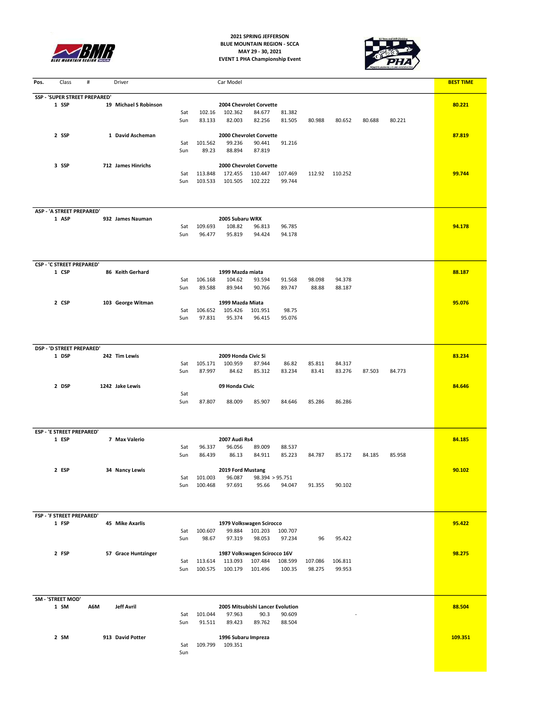

**2021 SPRING JEFFERSON BLUE MOUNTAIN REGION - SCCA MAY 29 - 30, 2021 EVENT 1 PHA Championship Event**



| Pos. | Class                              | #                             | Driver                |            |                    | Car Model                          |                                         |                                  |         |                |        |        | <b>BEST TIME</b> |
|------|------------------------------------|-------------------------------|-----------------------|------------|--------------------|------------------------------------|-----------------------------------------|----------------------------------|---------|----------------|--------|--------|------------------|
|      |                                    | SSP - 'SUPER STREET PREPARED' |                       |            |                    |                                    |                                         |                                  |         |                |        |        |                  |
|      | 1 SSP                              |                               | 19 Michael S Robinson | Sat        | 102.16             | 2004 Chevrolet Corvette<br>102.362 | 84.677                                  | 81.382                           |         |                |        |        | 80.221           |
|      |                                    |                               |                       | Sun        | 83.133             | 82.003                             | 82.256                                  | 81.505                           | 80.988  | 80.652         | 80.688 | 80.221 |                  |
|      | 2 SSP                              |                               | 1 David Ascheman      |            |                    | 2000 Chevrolet Corvette            |                                         |                                  |         |                |        |        | 87.819           |
|      |                                    |                               |                       | Sat        | 101.562            | 99.236                             | 90.441                                  | 91.216                           |         |                |        |        |                  |
|      |                                    |                               |                       | Sun        | 89.23              | 88.894                             | 87.819                                  |                                  |         |                |        |        |                  |
|      | 3 SSP                              |                               | 712 James Hinrichs    |            |                    | 2000 Chevrolet Corvette            |                                         |                                  |         |                |        |        |                  |
|      |                                    |                               |                       | Sat        | 113.848            | 172.455                            | 110.447                                 | 107.469                          |         | 112.92 110.252 |        |        | 99.744           |
|      |                                    |                               |                       | Sun        | 103.533            | 101.505                            | 102.222                                 | 99.744                           |         |                |        |        |                  |
|      |                                    |                               |                       |            |                    |                                    |                                         |                                  |         |                |        |        |                  |
|      | ASP - 'A STREET PREPARED'          |                               |                       |            |                    |                                    |                                         |                                  |         |                |        |        |                  |
|      | 1 ASP                              |                               | 932 James Nauman      |            |                    | 2005 Subaru WRX                    |                                         |                                  |         |                |        |        |                  |
|      |                                    |                               |                       | Sat<br>Sun | 109.693<br>96.477  | 108.82<br>95.819                   | 96.813<br>94.424                        | 96.785<br>94.178                 |         |                |        |        | 94.178           |
|      |                                    |                               |                       |            |                    |                                    |                                         |                                  |         |                |        |        |                  |
|      |                                    |                               |                       |            |                    |                                    |                                         |                                  |         |                |        |        |                  |
|      | <b>CSP - 'C STREET PREPARED'</b>   |                               |                       |            |                    |                                    |                                         |                                  |         |                |        |        |                  |
|      | 1 CSP                              |                               | 86 Keith Gerhard      | Sat        | 106.168            | 1999 Mazda miata<br>104.62         | 93.594                                  | 91.568                           | 98.098  | 94.378         |        |        | 88.187           |
|      |                                    |                               |                       | Sun        | 89.588             | 89.944                             | 90.766                                  | 89.747                           | 88.88   | 88.187         |        |        |                  |
|      |                                    |                               |                       |            |                    |                                    |                                         |                                  |         |                |        |        |                  |
|      | 2 CSP                              |                               | 103 George Witman     | Sat        | 106.652            | 1999 Mazda Miata<br>105.426        | 101.951                                 | 98.75                            |         |                |        |        | 95.076           |
|      |                                    |                               |                       | Sun        | 97.831             | 95.374                             | 96.415                                  | 95.076                           |         |                |        |        |                  |
|      |                                    |                               |                       |            |                    |                                    |                                         |                                  |         |                |        |        |                  |
|      |                                    |                               |                       |            |                    |                                    |                                         |                                  |         |                |        |        |                  |
|      | DSP - 'D STREET PREPARED'<br>1 DSP |                               | 242 Tim Lewis         |            |                    | 2009 Honda Civic Si                |                                         |                                  |         |                |        |        | 83.234           |
|      |                                    |                               |                       | Sat        | 105.171            | 100.959                            | 87.944                                  | 86.82                            | 85.811  | 84.317         |        |        |                  |
|      |                                    |                               |                       | Sun        | 87.997             | 84.62                              | 85.312                                  | 83.234                           | 83.41   | 83.276         | 87.503 | 84.773 |                  |
|      | 2 DSP                              |                               | 1242 Jake Lewis       |            |                    | 09 Honda Civic                     |                                         |                                  |         |                |        |        | 84.646           |
|      |                                    |                               |                       | Sat        |                    |                                    |                                         |                                  |         |                |        |        |                  |
|      |                                    |                               |                       | Sun        | 87.807             | 88.009                             | 85.907                                  | 84.646                           | 85.286  | 86.286         |        |        |                  |
|      |                                    |                               |                       |            |                    |                                    |                                         |                                  |         |                |        |        |                  |
|      | <b>ESP - 'E STREET PREPARED'</b>   |                               |                       |            |                    |                                    |                                         |                                  |         |                |        |        |                  |
|      | 1 ESP                              |                               | 7 Max Valerio         |            |                    | 2007 Audi Rs4                      |                                         |                                  |         |                |        |        | 84.185           |
|      |                                    |                               |                       | Sat<br>Sun | 96.337<br>86.439   | 96.056<br>86.13                    | 89.009<br>84.911                        | 88.537<br>85.223                 | 84.787  | 85.172         | 84.185 | 85.958 |                  |
|      |                                    |                               |                       |            |                    |                                    |                                         |                                  |         |                |        |        |                  |
|      | 2 ESP                              |                               | 34 Nancy Lewis        |            |                    | 2019 Ford Mustang                  |                                         |                                  |         |                |        |        | 90.102           |
|      |                                    |                               |                       | Sat<br>Sun | 101.003<br>100.468 | 96.087<br>97.691                   | 95.66                                   | 98.394 > 95.751<br>94.047        | 91.355  | 90.102         |        |        |                  |
|      |                                    |                               |                       |            |                    |                                    |                                         |                                  |         |                |        |        |                  |
|      |                                    |                               |                       |            |                    |                                    |                                         |                                  |         |                |        |        |                  |
|      | FSP - 'F STREET PREPARED'          |                               |                       |            |                    |                                    |                                         |                                  |         |                |        |        |                  |
|      | 1 FSP                              |                               | 45 Mike Axarlis       | Sat        | 100.607            | 99.884                             | 1979 Volkswagen Scirocco<br>101.203     | 100.707                          |         |                |        |        | 95.422           |
|      |                                    |                               |                       | Sun        | 98.67              | 97.319                             | 98.053                                  | 97.234                           | 96      | 95.422         |        |        |                  |
|      |                                    |                               |                       |            |                    |                                    |                                         |                                  |         |                |        |        |                  |
|      | 2 FSP                              |                               | 57 Grace Huntzinger   | Sat        | 113.614            | 113.093                            | 1987 Volkswagen Scirocco 16V<br>107.484 | 108.599                          | 107.086 | 106.811        |        |        | 98.275           |
|      |                                    |                               |                       | Sun        | 100.575            | 100.179                            | 101.496                                 | 100.35                           | 98.275  | 99.953         |        |        |                  |
|      |                                    |                               |                       |            |                    |                                    |                                         |                                  |         |                |        |        |                  |
|      | SM - 'STREET MOD'                  |                               |                       |            |                    |                                    |                                         |                                  |         |                |        |        |                  |
|      | 1 SM                               | A6M                           | <b>Jeff Avril</b>     |            |                    |                                    |                                         | 2005 Mitsubishi Lancer Evolution |         |                |        |        | 88.504           |
|      |                                    |                               |                       | Sat        | 101.044            | 97.963                             | 90.3                                    | 90.609                           |         |                |        |        |                  |
|      |                                    |                               |                       | Sun        | 91.511             | 89.423                             | 89.762                                  | 88.504                           |         |                |        |        |                  |
|      | 2 SM                               |                               | 913 David Potter      |            |                    | 1996 Subaru Impreza                |                                         |                                  |         |                |        |        | 109.351          |
|      |                                    |                               |                       | Sat        | 109.799            | 109.351                            |                                         |                                  |         |                |        |        |                  |
|      |                                    |                               |                       | Sun        |                    |                                    |                                         |                                  |         |                |        |        |                  |
|      |                                    |                               |                       |            |                    |                                    |                                         |                                  |         |                |        |        |                  |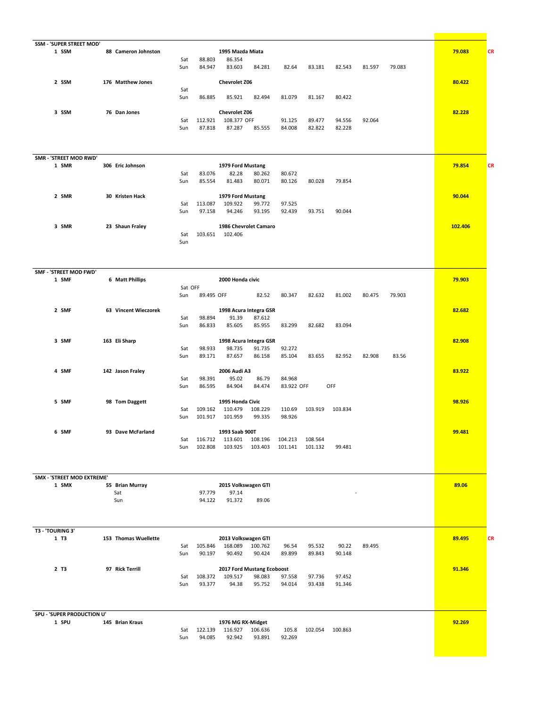| SSM - 'SUPER STREET MOD'        |                      |            |                   |                                         |                  |         |         |        |        |         |           |
|---------------------------------|----------------------|------------|-------------------|-----------------------------------------|------------------|---------|---------|--------|--------|---------|-----------|
| 1 SSM                           | 88 Cameron Johnston  |            |                   | 1995 Mazda Miata                        |                  |         |         |        |        | 79.083  | <b>CR</b> |
|                                 |                      | Sat<br>Sun | 88.803<br>84.947  | 86.354<br>83.603<br>84.281              | 82.64            | 83.181  | 82.543  | 81.597 | 79.083 |         |           |
|                                 |                      |            |                   |                                         |                  |         |         |        |        |         |           |
| 2 SSM                           | 176 Matthew Jones    |            |                   | <b>Chevrolet Z06</b>                    |                  |         |         |        |        | 80.422  |           |
|                                 |                      | Sat        |                   |                                         |                  |         |         |        |        |         |           |
|                                 |                      | Sun        | 86.885            | 85.921<br>82.494                        | 81.079           | 81.167  | 80.422  |        |        |         |           |
| 3 SSM                           | 76 Dan Jones         |            |                   | <b>Chevrolet Z06</b>                    |                  |         |         |        |        | 82.228  |           |
|                                 |                      | Sat        | 112.921           | 108.377 OFF                             | 91.125           | 89.477  | 94.556  | 92.064 |        |         |           |
|                                 |                      | Sun        | 87.818            | 87.287<br>85.555                        | 84.008           | 82.822  | 82.228  |        |        |         |           |
|                                 |                      |            |                   |                                         |                  |         |         |        |        |         |           |
|                                 |                      |            |                   |                                         |                  |         |         |        |        |         |           |
|                                 |                      |            |                   |                                         |                  |         |         |        |        |         |           |
| SMR - 'STREET MOD RWD'<br>1 SMR | 306 Eric Johnson     |            |                   | 1979 Ford Mustang                       |                  |         |         |        |        | 79.854  | <b>CR</b> |
|                                 |                      | Sat        | 83.076            | 82.28<br>80.262                         | 80.672           |         |         |        |        |         |           |
|                                 |                      | Sun        | 85.554            | 81.483<br>80.071                        | 80.126           | 80.028  | 79.854  |        |        |         |           |
|                                 |                      |            |                   |                                         |                  |         |         |        |        |         |           |
| 2 SMR                           | 30 Kristen Hack      |            |                   | 1979 Ford Mustang                       |                  |         |         |        |        | 90.044  |           |
|                                 |                      | Sat<br>Sun | 113.087<br>97.158 | 109.922<br>99.772<br>94.246<br>93.195   | 97.525<br>92.439 | 93.751  | 90.044  |        |        |         |           |
|                                 |                      |            |                   |                                         |                  |         |         |        |        |         |           |
| 3 SMR                           | 23 Shaun Fraley      |            |                   | 1986 Chevrolet Camaro                   |                  |         |         |        |        | 102.406 |           |
|                                 |                      | Sat        |                   | 103.651 102.406                         |                  |         |         |        |        |         |           |
|                                 |                      | Sun        |                   |                                         |                  |         |         |        |        |         |           |
|                                 |                      |            |                   |                                         |                  |         |         |        |        |         |           |
|                                 |                      |            |                   |                                         |                  |         |         |        |        |         |           |
| SMF - 'STREET MOD FWD'          |                      |            |                   |                                         |                  |         |         |        |        |         |           |
| 1 SMF                           | 6 Matt Phillips      |            |                   | 2000 Honda civic                        |                  |         |         |        |        | 79.903  |           |
|                                 |                      | Sat OFF    |                   |                                         |                  |         |         |        |        |         |           |
|                                 |                      | Sun        | 89.495 OFF        | 82.52                                   | 80.347           | 82.632  | 81.002  | 80.475 | 79.903 |         |           |
| 2 SMF                           | 63 Vincent Wieczorek |            |                   | 1998 Acura Integra GSR                  |                  |         |         |        |        | 82.682  |           |
|                                 |                      | Sat        | 98.894            | 91.39<br>87.612                         |                  |         |         |        |        |         |           |
|                                 |                      | Sun        | 86.833            | 85.605<br>85.955                        | 83.299           | 82.682  | 83.094  |        |        |         |           |
|                                 |                      |            |                   |                                         |                  |         |         |        |        |         |           |
| 3 SMF                           | 163 Eli Sharp        |            |                   | 1998 Acura Integra GSR                  |                  |         |         |        |        | 82.908  |           |
|                                 |                      | Sat        | 98.933            | 98.735<br>91.735                        | 92.272           |         |         |        |        |         |           |
|                                 |                      | Sun        | 89.171            | 87.657<br>86.158                        | 85.104           | 83.655  | 82.952  | 82.908 | 83.56  |         |           |
| 4 SMF                           | 142 Jason Fraley     |            |                   | 2006 Audi A3                            |                  |         |         |        |        | 83.922  |           |
|                                 |                      | Sat        | 98.391            | 95.02<br>86.79                          | 84.968           |         |         |        |        |         |           |
|                                 |                      | Sun        | 86.595            | 84.904<br>84.474                        | 83.922 OFF       |         | OFF     |        |        |         |           |
|                                 |                      |            |                   |                                         |                  |         |         |        |        |         |           |
| 5 SMF                           | 98 Tom Daggett       |            | 109.162           | 1995 Honda Civic                        |                  | 103.919 |         |        |        | 98.926  |           |
|                                 |                      | Sat<br>Sun | 101.917           | 110.479<br>108.229<br>101.959<br>99.335 | 110.69<br>98.926 |         | 103.834 |        |        |         |           |
|                                 |                      |            |                   |                                         |                  |         |         |        |        |         |           |
| 6 SMF                           | 93 Dave McFarland    |            |                   | 1993 Saab 900T                          |                  |         |         |        |        | 99.481  |           |
|                                 |                      | Sat        | 116.712           | 113.601<br>108.196                      | 104.213          | 108.564 |         |        |        |         |           |
|                                 |                      | Sun        | 102.808           | 103.925<br>103.403                      | 101.141          | 101.132 | 99.481  |        |        |         |           |
|                                 |                      |            |                   |                                         |                  |         |         |        |        |         |           |
|                                 |                      |            |                   |                                         |                  |         |         |        |        |         |           |
| SMX - 'STREET MOD EXTREME'      |                      |            |                   |                                         |                  |         |         |        |        |         |           |
| 1 SMX                           | 55 Brian Murray      |            |                   | 2015 Volkswagen GTI                     |                  |         |         |        |        | 89.06   |           |
|                                 | Sat                  |            | 97.779            | 97.14                                   |                  |         |         |        |        |         |           |
|                                 | Sun                  |            | 94.122            | 91.372<br>89.06                         |                  |         |         |        |        |         |           |
|                                 |                      |            |                   |                                         |                  |         |         |        |        |         |           |
|                                 |                      |            |                   |                                         |                  |         |         |        |        |         |           |
| T3 - 'TOURING 3'<br>1 T3        | 153 Thomas Wuellette |            |                   | 2013 Volkswagen GTI                     |                  |         |         |        |        | 89.495  |           |
|                                 |                      | Sat        | 105.846           | 100.762<br>168.089                      | 96.54            | 95.532  | 90.22   | 89.495 |        |         | <b>CR</b> |
|                                 |                      | Sun        | 90.197            | 90.492<br>90.424                        | 89.899           | 89.843  | 90.148  |        |        |         |           |
|                                 |                      |            |                   |                                         |                  |         |         |        |        |         |           |
| 2 T3                            | 97 Rick Terrill      |            |                   | 2017 Ford Mustang Ecoboost              |                  |         |         |        |        | 91.346  |           |
|                                 |                      | Sat        | 108.372           | 109.517<br>98.083                       | 97.558           | 97.736  | 97.452  |        |        |         |           |
|                                 |                      | Sun        | 93.377            | 94.38<br>95.752                         | 94.014           | 93.438  | 91.346  |        |        |         |           |
|                                 |                      |            |                   |                                         |                  |         |         |        |        |         |           |
|                                 |                      |            |                   |                                         |                  |         |         |        |        |         |           |
| SPU - 'SUPER PRODUCTION U'      |                      |            |                   |                                         |                  |         |         |        |        |         |           |
| 1 SPU                           | 145 Brian Kraus      |            |                   | 1976 MG RX-Midget                       |                  |         |         |        |        | 92.269  |           |
|                                 |                      | Sat<br>Sun | 122.139<br>94.085 | 116.927<br>106.636<br>92.942<br>93.891  | 105.8<br>92.269  | 102.054 | 100.863 |        |        |         |           |
|                                 |                      |            |                   |                                         |                  |         |         |        |        |         |           |
|                                 |                      |            |                   |                                         |                  |         |         |        |        |         |           |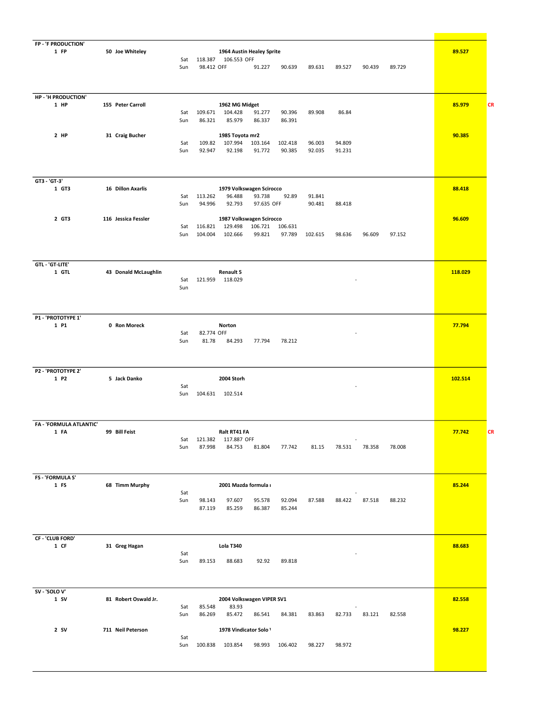| FP - 'F PRODUCTION'        |                      |            |                   |                                     |                  |                  |         |        |        |        |         |           |
|----------------------------|----------------------|------------|-------------------|-------------------------------------|------------------|------------------|---------|--------|--------|--------|---------|-----------|
| 1 FP                       | 50 Joe Whiteley      |            |                   | 1964 Austin Healey Sprite           |                  |                  |         |        |        |        | 89.527  |           |
|                            |                      | Sat        | 118.387           | 106.553 OFF                         |                  |                  |         |        |        |        |         |           |
|                            |                      | Sun        | 98.412 OFF        |                                     | 91.227           | 90.639           | 89.631  | 89.527 | 90.439 | 89.729 |         |           |
|                            |                      |            |                   |                                     |                  |                  |         |        |        |        |         |           |
|                            |                      |            |                   |                                     |                  |                  |         |        |        |        |         |           |
| HP - 'H PRODUCTION'        |                      |            |                   |                                     |                  |                  |         |        |        |        |         |           |
| 1 HP                       | 155 Peter Carroll    |            |                   | 1962 MG Midget                      |                  |                  |         |        |        |        | 85.979  | <b>CR</b> |
|                            |                      | Sat<br>Sun | 109.671<br>86.321 | 104.428<br>85.979                   | 91.277<br>86.337 | 90.396<br>86.391 | 89.908  | 86.84  |        |        |         |           |
|                            |                      |            |                   |                                     |                  |                  |         |        |        |        |         |           |
| 2 HP                       | 31 Craig Bucher      |            |                   | 1985 Toyota mr2                     |                  |                  |         |        |        |        | 90.385  |           |
|                            |                      | Sat        | 109.82            | 107.994                             | 103.164          | 102.418          | 96.003  | 94.809 |        |        |         |           |
|                            |                      | Sun        | 92.947            | 92.198                              | 91.772           | 90.385           | 92.035  | 91.231 |        |        |         |           |
|                            |                      |            |                   |                                     |                  |                  |         |        |        |        |         |           |
|                            |                      |            |                   |                                     |                  |                  |         |        |        |        |         |           |
| GT3 - 'GT-3'<br>1 GT3      | 16 Dillon Axarlis    |            |                   | 1979 Volkswagen Scirocco            |                  |                  |         |        |        |        | 88.418  |           |
|                            |                      | Sat        | 113.262           | 96.488                              | 93.738           | 92.89            | 91.841  |        |        |        |         |           |
|                            |                      | Sun        | 94.996            | 92.793                              | 97.635 OFF       |                  | 90.481  | 88.418 |        |        |         |           |
| 2 GT3                      | 116 Jessica Fessler  |            |                   |                                     |                  |                  |         |        |        |        | 96.609  |           |
|                            |                      | Sat        | 116.821           | 1987 Volkswagen Scirocco<br>129.498 | 106.721          | 106.631          |         |        |        |        |         |           |
|                            |                      | Sun        | 104.004           | 102.666                             | 99.821           | 97.789           | 102.615 | 98.636 | 96.609 | 97.152 |         |           |
|                            |                      |            |                   |                                     |                  |                  |         |        |        |        |         |           |
|                            |                      |            |                   |                                     |                  |                  |         |        |        |        |         |           |
| GTL - 'GT-LITE'            |                      |            |                   |                                     |                  |                  |         |        |        |        |         |           |
| 1 GTL                      | 43 Donald McLaughlin |            |                   | Renault 5                           |                  |                  |         |        |        |        | 118.029 |           |
|                            |                      | Sat        | 121.959           | 118.029                             |                  |                  |         |        |        |        |         |           |
|                            |                      | Sun        |                   |                                     |                  |                  |         |        |        |        |         |           |
|                            |                      |            |                   |                                     |                  |                  |         |        |        |        |         |           |
|                            |                      |            |                   |                                     |                  |                  |         |        |        |        |         |           |
| P1 - 'PROTOTYPE 1'<br>1 P1 | 0 Ron Moreck         |            |                   | Norton                              |                  |                  |         |        |        |        | 77.794  |           |
|                            |                      | Sat        | 82.774 OFF        |                                     |                  |                  |         |        |        |        |         |           |
|                            |                      | Sun        | 81.78             | 84.293                              | 77.794           | 78.212           |         |        |        |        |         |           |
|                            |                      |            |                   |                                     |                  |                  |         |        |        |        |         |           |
|                            |                      |            |                   |                                     |                  |                  |         |        |        |        |         |           |
| P2 - 'PROTOTYPE 2'         |                      |            |                   |                                     |                  |                  |         |        |        |        |         |           |
| 1 P2                       | 5 Jack Danko         |            |                   | 2004 Storh                          |                  |                  |         |        |        |        | 102.514 |           |
|                            |                      | Sat<br>Sun | 104.631           | 102.514                             |                  |                  |         |        |        |        |         |           |
|                            |                      |            |                   |                                     |                  |                  |         |        |        |        |         |           |
|                            |                      |            |                   |                                     |                  |                  |         |        |        |        |         |           |
| FA - 'FORMULA ATLANTIC'    |                      |            |                   |                                     |                  |                  |         |        |        |        |         |           |
| 1 FA                       | 99 Bill Feist        |            |                   | Ralt RT41 FA                        |                  |                  |         |        |        |        | 77.742  | <b>CR</b> |
|                            |                      | Sat        | 121.382           | 117.887 OFF                         |                  |                  |         |        |        |        |         |           |
|                            |                      | Sun        | 87.998            | 84.753                              | 81.804           | 77.742           | 81.15   | 78.531 | 78.358 | 78.008 |         |           |
|                            |                      |            |                   |                                     |                  |                  |         |        |        |        |         |           |
|                            |                      |            |                   |                                     |                  |                  |         |        |        |        |         |           |
| <b>FS - 'FORMULA S'</b>    |                      |            |                   |                                     |                  |                  |         |        |        |        |         |           |
| 1 FS                       | 68 Timm Murphy       | Sat        |                   | 2001 Mazda formula i                |                  |                  |         |        |        |        | 85.244  |           |
|                            |                      | Sun        | 98.143            | 97.607                              | 95.578           | 92.094           | 87.588  | 88.422 | 87.518 | 88.232 |         |           |
|                            |                      |            | 87.119            | 85.259                              | 86.387           | 85.244           |         |        |        |        |         |           |
|                            |                      |            |                   |                                     |                  |                  |         |        |        |        |         |           |
|                            |                      |            |                   |                                     |                  |                  |         |        |        |        |         |           |
| CF - 'CLUB FORD'           |                      |            |                   |                                     |                  |                  |         |        |        |        |         |           |
| 1 CF                       | 31 Greg Hagan        |            |                   | Lola T340                           |                  |                  |         |        |        |        | 88.683  |           |
|                            |                      | Sat<br>Sun | 89.153            | 88.683                              | 92.92            | 89.818           |         |        |        |        |         |           |
|                            |                      |            |                   |                                     |                  |                  |         |        |        |        |         |           |
|                            |                      |            |                   |                                     |                  |                  |         |        |        |        |         |           |
| SV - 'SOLO V'              |                      |            |                   |                                     |                  |                  |         |        |        |        |         |           |
| $1$ SV                     | 81 Robert Oswald Jr. |            |                   | 2004 Volkswagen VIPER SV1           |                  |                  |         |        |        |        | 82.558  |           |
|                            |                      | Sat        | 85.548            | 83.93                               |                  |                  |         |        |        |        |         |           |
|                            |                      | Sun        | 86.269            | 85.472                              | 86.541           | 84.381           | 83.863  | 82.733 | 83.121 | 82.558 |         |           |
| $2$ SV                     | 711 Neil Peterson    |            |                   | 1978 Vindicator Solo \              |                  |                  |         |        |        |        | 98.227  |           |
|                            |                      | Sat        |                   |                                     |                  |                  |         |        |        |        |         |           |
|                            |                      | Sun        | 100.838           | 103.854                             | 98.993           | 106.402          | 98.227  | 98.972 |        |        |         |           |
|                            |                      |            |                   |                                     |                  |                  |         |        |        |        |         |           |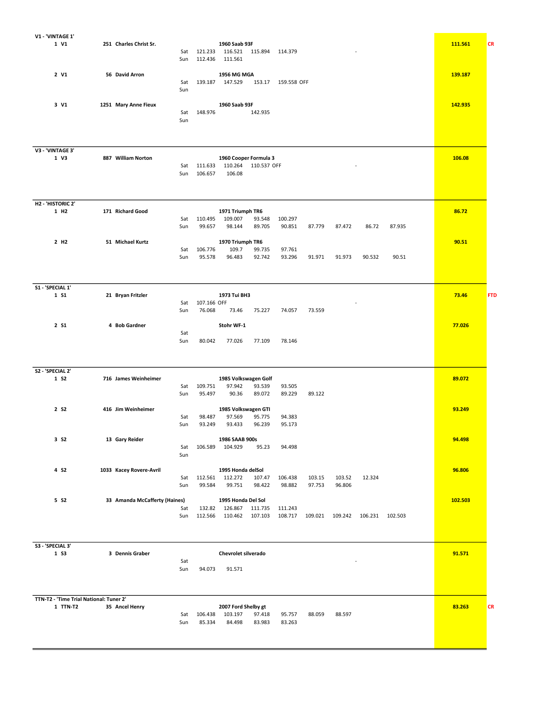| V1 - 'VINTAGE 1'                        |                               |                |                       |                       |         |         |                 |        |         |            |
|-----------------------------------------|-------------------------------|----------------|-----------------------|-----------------------|---------|---------|-----------------|--------|---------|------------|
| 1 V1                                    | 251 Charles Christ Sr.        |                | 1960 Saab 93F         |                       |         |         |                 |        | 111.561 | <b>CR</b>  |
|                                         |                               | 121.233<br>Sat | 116.521 115.894       | 114.379               |         |         |                 |        |         |            |
|                                         |                               | 112.436<br>Sun | 111.561               |                       |         |         |                 |        |         |            |
|                                         |                               |                |                       |                       |         |         |                 |        |         |            |
| 2 V1                                    | 56 David Arron                |                | 1956 MG MGA           |                       |         |         |                 |        | 139.187 |            |
|                                         |                               | 139.187<br>Sat | 147.529               | 153.17<br>159.558 OFF |         |         |                 |        |         |            |
|                                         |                               | Sun            |                       |                       |         |         |                 |        |         |            |
|                                         |                               |                |                       |                       |         |         |                 |        |         |            |
| 3 V1                                    | 1251 Mary Anne Fieux          |                | 1960 Saab 93F         |                       |         |         |                 |        | 142.935 |            |
|                                         |                               | 148.976<br>Sat |                       | 142.935               |         |         |                 |        |         |            |
|                                         |                               | Sun            |                       |                       |         |         |                 |        |         |            |
|                                         |                               |                |                       |                       |         |         |                 |        |         |            |
|                                         |                               |                |                       |                       |         |         |                 |        |         |            |
|                                         |                               |                |                       |                       |         |         |                 |        |         |            |
|                                         |                               |                |                       |                       |         |         |                 |        |         |            |
| V3 - 'VINTAGE 3'<br>1 V3                |                               |                |                       |                       |         |         |                 |        |         |            |
|                                         | 887 William Norton            |                | 1960 Cooper Formula 3 |                       |         |         |                 |        | 106.08  |            |
|                                         |                               | 111.633<br>Sat | 110.264               | 110.537 OFF           |         |         |                 |        |         |            |
|                                         |                               | 106.657<br>Sun | 106.08                |                       |         |         |                 |        |         |            |
|                                         |                               |                |                       |                       |         |         |                 |        |         |            |
|                                         |                               |                |                       |                       |         |         |                 |        |         |            |
|                                         |                               |                |                       |                       |         |         |                 |        |         |            |
| H2 - 'HISTORIC 2'                       |                               |                |                       |                       |         |         |                 |        |         |            |
| 1 H <sub>2</sub>                        | 171 Richard Good              |                | 1971 Triumph TR6      |                       |         |         |                 |        | 86.72   |            |
|                                         |                               | 110.495<br>Sat | 109.007               | 100.297<br>93.548     |         |         |                 |        |         |            |
|                                         |                               | Sun            | 99.657<br>98.144      | 89.705<br>90.851      | 87.779  | 87.472  | 86.72           | 87.935 |         |            |
|                                         |                               |                |                       |                       |         |         |                 |        |         |            |
| 2 H <sub>2</sub>                        | 51 Michael Kurtz              |                | 1970 Triumph TR6      |                       |         |         |                 |        | 90.51   |            |
|                                         |                               | 106.776<br>Sat | 109.7                 | 99.735<br>97.761      |         |         |                 |        |         |            |
|                                         |                               | Sun            | 95.578<br>96.483      | 92.742<br>93.296      | 91.971  | 91.973  | 90.532          | 90.51  |         |            |
|                                         |                               |                |                       |                       |         |         |                 |        |         |            |
|                                         |                               |                |                       |                       |         |         |                 |        |         |            |
|                                         |                               |                |                       |                       |         |         |                 |        |         |            |
| S1 - 'SPECIAL 1'                        |                               |                |                       |                       |         |         |                 |        |         |            |
| 1 S1                                    | 21 Bryan Fritzler             |                | 1973 Tui BH3          |                       |         |         |                 |        | 73.46   | <b>FTD</b> |
|                                         |                               | Sat            | 107.166 OFF           |                       |         |         |                 |        |         |            |
|                                         |                               | Sun            | 76.068<br>73.46       | 75.227<br>74.057      | 73.559  |         |                 |        |         |            |
|                                         |                               |                |                       |                       |         |         |                 |        |         |            |
| 2 S1                                    | 4 Bob Gardner                 |                | Stohr WF-1            |                       |         |         |                 |        | 77.026  |            |
|                                         |                               | Sat            |                       |                       |         |         |                 |        |         |            |
|                                         |                               | Sun            | 80.042<br>77.026      | 77.109<br>78.146      |         |         |                 |        |         |            |
|                                         |                               |                |                       |                       |         |         |                 |        |         |            |
|                                         |                               |                |                       |                       |         |         |                 |        |         |            |
|                                         |                               |                |                       |                       |         |         |                 |        |         |            |
|                                         |                               |                |                       |                       |         |         |                 |        |         |            |
| S2 - 'SPECIAL 2'                        | 716 James Weinheimer          |                |                       |                       |         |         |                 |        |         |            |
| 1 S <sub>2</sub>                        |                               |                | 1985 Volkswagen Golf  |                       |         |         |                 |        | 89.072  |            |
|                                         |                               | 109.751<br>Sat | 97.942                | 93.539<br>93.505      |         |         |                 |        |         |            |
|                                         |                               | Sun            | 95.497<br>90.36       | 89.072<br>89.229      | 89.122  |         |                 |        |         |            |
|                                         |                               |                |                       |                       |         |         |                 |        |         |            |
| 2 S <sub>2</sub>                        | 416 Jim Weinheimer            |                | 1985 Volkswagen GTI   |                       |         |         |                 |        | 93.249  |            |
|                                         |                               | Sat            | 98.487<br>97.569      | 95.775<br>94.383      |         |         |                 |        |         |            |
|                                         |                               | Sun            | 93.249<br>93.433      | 96.239<br>95.173      |         |         |                 |        |         |            |
|                                         |                               |                |                       |                       |         |         |                 |        |         |            |
| 3 S <sub>2</sub>                        | 13 Gary Reider                |                | 1986 SAAB 900s        |                       |         |         |                 |        | 94.498  |            |
|                                         |                               | 106.589<br>Sat | 104.929               | 95.23<br>94.498       |         |         |                 |        |         |            |
|                                         |                               | Sun            |                       |                       |         |         |                 |        |         |            |
|                                         |                               |                |                       |                       |         |         |                 |        |         |            |
| 4 S <sub>2</sub>                        | 1033 Kacey Rovere-Avril       |                | 1995 Honda delSol     |                       |         |         |                 |        | 96.806  |            |
|                                         |                               | 112.561<br>Sat | 112.272               | 107.47<br>106.438     | 103.15  | 103.52  | 12.324          |        |         |            |
|                                         |                               | Sun            | 99.584<br>99.751      | 98.422<br>98.882      | 97.753  | 96.806  |                 |        |         |            |
|                                         |                               |                |                       |                       |         |         |                 |        |         |            |
| 5 S <sub>2</sub>                        | 33 Amanda McCafferty (Haines) |                | 1995 Honda Del Sol    |                       |         |         |                 |        | 102.503 |            |
|                                         |                               | Sat            | 132.82 126.867        | 111.735<br>111.243    |         |         |                 |        |         |            |
|                                         |                               | Sun<br>112.566 | 110.462               | 107.103<br>108.717    | 109.021 | 109.242 | 106.231 102.503 |        |         |            |
|                                         |                               |                |                       |                       |         |         |                 |        |         |            |
|                                         |                               |                |                       |                       |         |         |                 |        |         |            |
|                                         |                               |                |                       |                       |         |         |                 |        |         |            |
| S3 - 'SPECIAL 3'                        |                               |                |                       |                       |         |         |                 |        |         |            |
| 1 S3                                    | 3 Dennis Graber               |                | Chevrolet silverado   |                       |         |         |                 |        | 91.571  |            |
|                                         |                               | Sat            |                       |                       |         |         |                 |        |         |            |
|                                         |                               | Sun            | 94.073<br>91.571      |                       |         |         |                 |        |         |            |
|                                         |                               |                |                       |                       |         |         |                 |        |         |            |
|                                         |                               |                |                       |                       |         |         |                 |        |         |            |
|                                         |                               |                |                       |                       |         |         |                 |        |         |            |
|                                         |                               |                |                       |                       |         |         |                 |        |         |            |
| TTN-T2 - 'Time Trial National: Tuner 2' |                               |                |                       |                       |         |         |                 |        |         |            |
| 1 TTN-T2                                | 35 Ancel Henry                |                | 2007 Ford Shelby gt   |                       |         |         |                 |        | 83.263  | <b>CR</b>  |
|                                         |                               | 106.438<br>Sat | 103.197               | 97.418<br>95.757      | 88.059  | 88.597  |                 |        |         |            |
|                                         |                               | Sun            | 85.334<br>84.498      | 83.983<br>83.263      |         |         |                 |        |         |            |
|                                         |                               |                |                       |                       |         |         |                 |        |         |            |
|                                         |                               |                |                       |                       |         |         |                 |        |         |            |
|                                         |                               |                |                       |                       |         |         |                 |        |         |            |